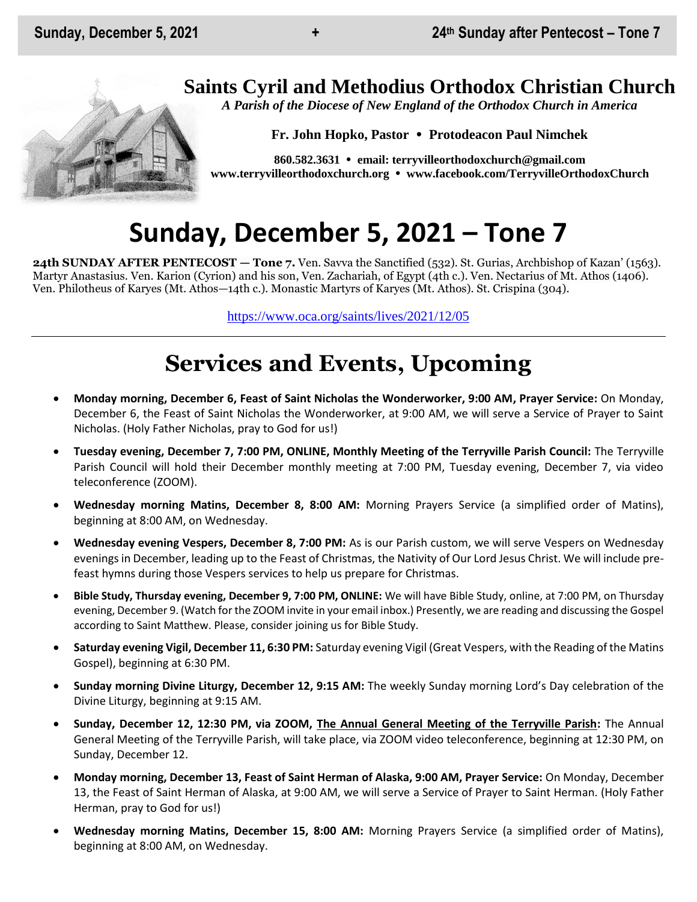## **Saints Cyril and Methodius Orthodox Christian Church**

*A Parish of the Diocese of New England of the Orthodox Church in America*

**Fr. John Hopko, Pastor Protodeacon Paul Nimchek**

**860.582.3631 email: [terryvilleorthodoxchurch@gmail.com](mailto:saintcyril@snet.net) [www.terryvilleorthodoxchurch.org](http://www.terryvilleorthodoxchurch.org/) [www.facebook.com/TerryvilleOrthodoxChurch](http://www.facebook.com/TerryvilleOrthodoxChurch)**

# **Sunday, December 5, 2021 – Tone 7**

**24th SUNDAY AFTER PENTECOST — Tone 7.** Ven. Savva the Sanctified (532). St. Gurias, Archbishop of Kazan' (1563). Martyr Anastasius. Ven. Karion (Cyrion) and his son, Ven. Zachariah, of Egypt (4th c.). Ven. Nectarius of Mt. Athos (1406). Ven. Philotheus of Karyes (Mt. Athos—14th c.). Monastic Martyrs of Karyes (Mt. Athos). St. Crispina (304).

<https://www.oca.org/saints/lives/2021/12/05>

# **Services and Events, Upcoming**

- **Monday morning, December 6, Feast of Saint Nicholas the Wonderworker, 9:00 AM, Prayer Service:** On Monday, December 6, the Feast of Saint Nicholas the Wonderworker, at 9:00 AM, we will serve a Service of Prayer to Saint Nicholas. (Holy Father Nicholas, pray to God for us!)
- **Tuesday evening, December 7, 7:00 PM, ONLINE, Monthly Meeting of the Terryville Parish Council:** The Terryville Parish Council will hold their December monthly meeting at 7:00 PM, Tuesday evening, December 7, via video teleconference (ZOOM).
- **Wednesday morning Matins, December 8, 8:00 AM:** Morning Prayers Service (a simplified order of Matins), beginning at 8:00 AM, on Wednesday.
- **Wednesday evening Vespers, December 8, 7:00 PM:** As is our Parish custom, we will serve Vespers on Wednesday evenings in December, leading up to the Feast of Christmas, the Nativity of Our Lord Jesus Christ. We will include prefeast hymns during those Vespers services to help us prepare for Christmas.
- **Bible Study, Thursday evening, December 9, 7:00 PM, ONLINE:** We will have Bible Study, online, at 7:00 PM, on Thursday evening, December 9. (Watch for the ZOOM invite in your email inbox.) Presently, we are reading and discussing the Gospel according to Saint Matthew. Please, consider joining us for Bible Study.
- **Saturday evening Vigil, December 11, 6:30 PM:** Saturday evening Vigil (Great Vespers, with the Reading of the Matins Gospel), beginning at 6:30 PM.
- **Sunday morning Divine Liturgy, December 12, 9:15 AM:** The weekly Sunday morning Lord's Day celebration of the Divine Liturgy, beginning at 9:15 AM.
- **Sunday, December 12, 12:30 PM, via ZOOM, The Annual General Meeting of the Terryville Parish:** The Annual General Meeting of the Terryville Parish, will take place, via ZOOM video teleconference, beginning at 12:30 PM, on Sunday, December 12.
- **Monday morning, December 13, Feast of Saint Herman of Alaska, 9:00 AM, Prayer Service:** On Monday, December 13, the Feast of Saint Herman of Alaska, at 9:00 AM, we will serve a Service of Prayer to Saint Herman. (Holy Father Herman, pray to God for us!)
- **Wednesday morning Matins, December 15, 8:00 AM:** Morning Prayers Service (a simplified order of Matins), beginning at 8:00 AM, on Wednesday.

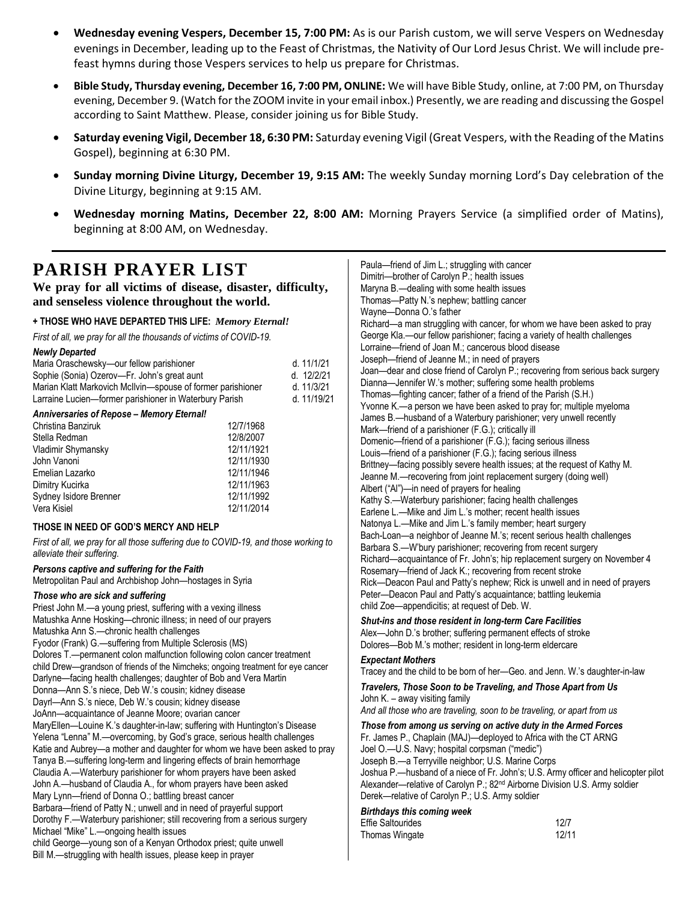- **Wednesday evening Vespers, December 15, 7:00 PM:** As is our Parish custom, we will serve Vespers on Wednesday evenings in December, leading up to the Feast of Christmas, the Nativity of Our Lord Jesus Christ. We will include prefeast hymns during those Vespers services to help us prepare for Christmas.
- **Bible Study, Thursday evening, December 16, 7:00 PM, ONLINE:** We will have Bible Study, online, at 7:00 PM, on Thursday evening, December 9. (Watch for the ZOOM invite in your email inbox.) Presently, we are reading and discussing the Gospel according to Saint Matthew. Please, consider joining us for Bible Study.
- **Saturday evening Vigil, December 18, 6:30 PM:** Saturday evening Vigil (Great Vespers, with the Reading of the Matins Gospel), beginning at 6:30 PM.
- **Sunday morning Divine Liturgy, December 19, 9:15 AM:** The weekly Sunday morning Lord's Day celebration of the Divine Liturgy, beginning at 9:15 AM.
- **Wednesday morning Matins, December 22, 8:00 AM:** Morning Prayers Service (a simplified order of Matins), beginning at 8:00 AM, on Wednesday.

### **PARISH PRAYER LIST**

**We pray for all victims of disease, disaster, difficulty, and senseless violence throughout the world.**

#### **+ THOSE WHO HAVE DEPARTED THIS LIFE:** *Memory Eternal!*

*First of all, we pray for all the thousands of victims of COVID-19.* 

| <b>Newly Departed</b>                                       |              |
|-------------------------------------------------------------|--------------|
| Maria Oraschewsky-our fellow parishioner                    | d. $11/1/21$ |
| Sophie (Sonia) Ozerov-Fr. John's great aunt                 | d. 12/2/21   |
| Marian Klatt Markovich McIlvin-spouse of former parishioner | d. $11/3/21$ |
| Larraine Lucien—former parishioner in Waterbury Parish      | d. 11/19/21  |
| Application of Departs Memory Flowell                       |              |

#### *Anniversaries of Repose – Memory Eternal!*

| 12/7/1968  |
|------------|
| 12/8/2007  |
| 12/11/1921 |
| 12/11/1930 |
| 12/11/1946 |
| 12/11/1963 |
| 12/11/1992 |
| 12/11/2014 |
|            |

#### **THOSE IN NEED OF GOD'S MERCY AND HELP**

*First of all, we pray for all those suffering due to COVID-19, and those working to alleviate their suffering.*

#### *Persons captive and suffering for the Faith*

Metropolitan Paul and Archbishop John—hostages in Syria

#### *Those who are sick and suffering*

Priest John M.—a young priest, suffering with a vexing illness Matushka Anne Hosking—chronic illness; in need of our prayers Matushka Ann S.—chronic health challenges Fyodor (Frank) G.—suffering from Multiple Sclerosis (MS) Dolores T.—permanent colon malfunction following colon cancer treatment child Drew—grandson of friends of the Nimcheks; ongoing treatment for eye cancer Darlyne—facing health challenges; daughter of Bob and Vera Martin Donna—Ann S.'s niece, Deb W.'s cousin; kidney disease Dayrl—Ann S.'s niece, Deb W.'s cousin; kidney disease JoAnn—acquaintance of Jeanne Moore; ovarian cancer MaryEllen—Louine K.'s daughter-in-law; suffering with Huntington's Disease Yelena "Lenna" M.—overcoming, by God's grace, serious health challenges Katie and Aubrey—a mother and daughter for whom we have been asked to pray Tanya B.—suffering long-term and lingering effects of brain hemorrhage Claudia A.—Waterbury parishioner for whom prayers have been asked John A.—husband of Claudia A., for whom prayers have been asked Mary Lynn—friend of Donna O.; battling breast cancer Barbara—friend of Patty N.; unwell and in need of prayerful support Dorothy F.—Waterbury parishioner; still recovering from a serious surgery Michael "Mike" L.—ongoing health issues child George—young son of a Kenyan Orthodox priest; quite unwell Bill M.—struggling with health issues, please keep in prayer

| Paula—friend of Jim L.; struggling with cancer<br>Dimitri-brother of Carolyn P.; health issues<br>Maryna B.-dealing with some health issues<br>Thomas-Patty N.'s nephew; battling cancer<br>Wayne-Donna O.'s father<br>Richard-a man struggling with cancer, for whom we have been asked to pray<br>George Kla.--our fellow parishioner; facing a variety of health challenges<br>Lorraine-friend of Joan M.; cancerous blood disease<br>Joseph-friend of Jeanne M.; in need of prayers<br>Joan-dear and close friend of Carolyn P.; recovering from serious back surgery<br>Dianna-Jennifer W.'s mother; suffering some health problems<br>Thomas-fighting cancer; father of a friend of the Parish (S.H.)<br>Yvonne K.-a person we have been asked to pray for; multiple myeloma<br>James B.-husband of a Waterbury parishioner; very unwell recently<br>Mark-friend of a parishioner (F.G.); critically ill<br>Domenic-friend of a parishioner (F.G.); facing serious illness<br>Louis-friend of a parishioner (F.G.); facing serious illness<br>Brittney-facing possibly severe health issues; at the request of Kathy M.<br>Jeanne M.-recovering from joint replacement surgery (doing well)<br>Albert ("Al")-in need of prayers for healing<br>Kathy S.-Waterbury parishioner; facing health challenges<br>Earlene L.-Mike and Jim L.'s mother; recent health issues<br>Natonya L.-Mike and Jim L.'s family member; heart surgery<br>Bach-Loan-a neighbor of Jeanne M.'s; recent serious health challenges<br>Barbara S.-W'bury parishioner; recovering from recent surgery<br>Richard-acquaintance of Fr. John's; hip replacement surgery on November 4<br>Rosemary-friend of Jack K .; recovering from recent stroke<br>Rick-Deacon Paul and Patty's nephew; Rick is unwell and in need of prayers<br>Peter-Deacon Paul and Patty's acquaintance; battling leukemia<br>child Zoe-appendicitis; at request of Deb. W. |
|------------------------------------------------------------------------------------------------------------------------------------------------------------------------------------------------------------------------------------------------------------------------------------------------------------------------------------------------------------------------------------------------------------------------------------------------------------------------------------------------------------------------------------------------------------------------------------------------------------------------------------------------------------------------------------------------------------------------------------------------------------------------------------------------------------------------------------------------------------------------------------------------------------------------------------------------------------------------------------------------------------------------------------------------------------------------------------------------------------------------------------------------------------------------------------------------------------------------------------------------------------------------------------------------------------------------------------------------------------------------------------------------------------------------------------------------------------------------------------------------------------------------------------------------------------------------------------------------------------------------------------------------------------------------------------------------------------------------------------------------------------------------------------------------------------------------------------------------------------------------------------------------------------------------------|
| Shut-ins and those resident in long-term Care Facilities<br>Alex-John D.'s brother; suffering permanent effects of stroke<br>Dolores-Bob M.'s mother; resident in long-term eldercare                                                                                                                                                                                                                                                                                                                                                                                                                                                                                                                                                                                                                                                                                                                                                                                                                                                                                                                                                                                                                                                                                                                                                                                                                                                                                                                                                                                                                                                                                                                                                                                                                                                                                                                                        |
| <b>Expectant Mothers</b><br>Tracey and the child to be born of her-Geo. and Jenn. W.'s daughter-in-law                                                                                                                                                                                                                                                                                                                                                                                                                                                                                                                                                                                                                                                                                                                                                                                                                                                                                                                                                                                                                                                                                                                                                                                                                                                                                                                                                                                                                                                                                                                                                                                                                                                                                                                                                                                                                       |
| Travelers, Those Soon to be Traveling, and Those Apart from Us<br>John K. - away visiting family<br>And all those who are traveling, soon to be traveling, or apart from us                                                                                                                                                                                                                                                                                                                                                                                                                                                                                                                                                                                                                                                                                                                                                                                                                                                                                                                                                                                                                                                                                                                                                                                                                                                                                                                                                                                                                                                                                                                                                                                                                                                                                                                                                  |
| Those from among us serving on active duty in the Armed Forces<br>Fr. James P., Chaplain (MAJ)-deployed to Africa with the CT ARNG<br>Joel O.-U.S. Navy; hospital corpsman ("medic")<br>Joseph B.-a Terryville neighbor; U.S. Marine Corps<br>Joshua P.-husband of a niece of Fr. John's; U.S. Army officer and helicopter pilot<br>Alexander-relative of Carolyn P.; 82 <sup>nd</sup> Airborne Division U.S. Army soldier<br>Derek-relative of Carolyn P.; U.S. Army soldier                                                                                                                                                                                                                                                                                                                                                                                                                                                                                                                                                                                                                                                                                                                                                                                                                                                                                                                                                                                                                                                                                                                                                                                                                                                                                                                                                                                                                                                |
| <b>Birthdays this coming week</b><br><b>Effie Saltourides</b><br>12/7<br>Thomas Wingate<br>12/11                                                                                                                                                                                                                                                                                                                                                                                                                                                                                                                                                                                                                                                                                                                                                                                                                                                                                                                                                                                                                                                                                                                                                                                                                                                                                                                                                                                                                                                                                                                                                                                                                                                                                                                                                                                                                             |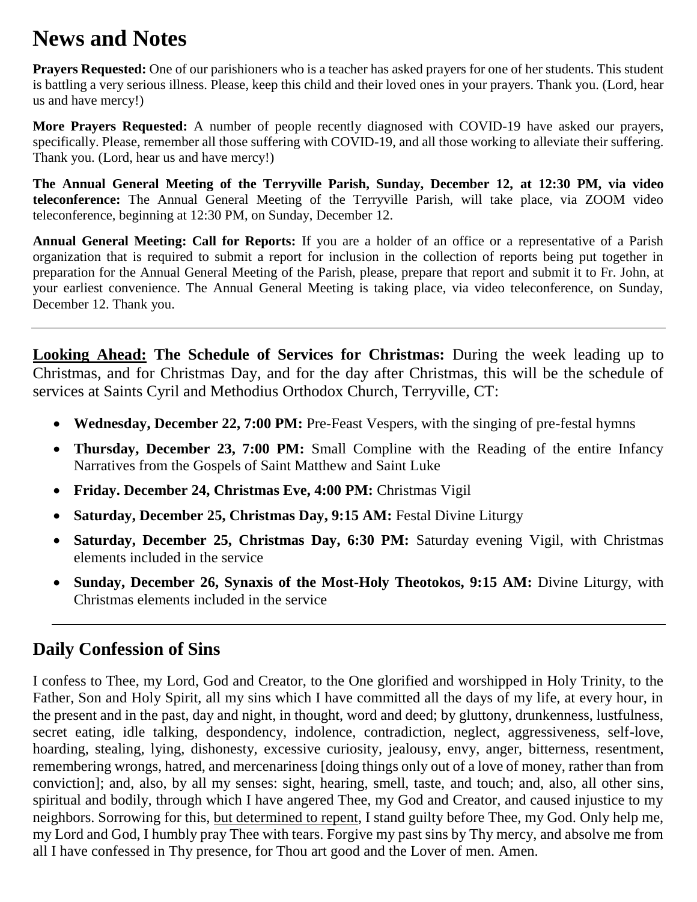# **News and Notes**

**Prayers Requested:** One of our parishioners who is a teacher has asked prayers for one of her students. This student is battling a very serious illness. Please, keep this child and their loved ones in your prayers. Thank you. (Lord, hear us and have mercy!)

**More Prayers Requested:** A number of people recently diagnosed with COVID-19 have asked our prayers, specifically. Please, remember all those suffering with COVID-19, and all those working to alleviate their suffering. Thank you. (Lord, hear us and have mercy!)

**The Annual General Meeting of the Terryville Parish, Sunday, December 12, at 12:30 PM, via video teleconference:** The Annual General Meeting of the Terryville Parish, will take place, via ZOOM video teleconference, beginning at 12:30 PM, on Sunday, December 12.

**Annual General Meeting: Call for Reports:** If you are a holder of an office or a representative of a Parish organization that is required to submit a report for inclusion in the collection of reports being put together in preparation for the Annual General Meeting of the Parish, please, prepare that report and submit it to Fr. John, at your earliest convenience. The Annual General Meeting is taking place, via video teleconference, on Sunday, December 12. Thank you.

**Looking Ahead: The Schedule of Services for Christmas:** During the week leading up to Christmas, and for Christmas Day, and for the day after Christmas, this will be the schedule of services at Saints Cyril and Methodius Orthodox Church, Terryville, CT:

- **Wednesday, December 22, 7:00 PM:** Pre-Feast Vespers, with the singing of pre-festal hymns
- **Thursday, December 23, 7:00 PM:** Small Compline with the Reading of the entire Infancy Narratives from the Gospels of Saint Matthew and Saint Luke
- **Friday. December 24, Christmas Eve, 4:00 PM:** Christmas Vigil
- **Saturday, December 25, Christmas Day, 9:15 AM:** Festal Divine Liturgy
- **Saturday, December 25, Christmas Day, 6:30 PM:** Saturday evening Vigil, with Christmas elements included in the service
- **Sunday, December 26, Synaxis of the Most-Holy Theotokos, 9:15 AM:** Divine Liturgy, with Christmas elements included in the service

### **Daily Confession of Sins**

I confess to Thee, my Lord, God and Creator, to the One glorified and worshipped in Holy Trinity, to the Father, Son and Holy Spirit, all my sins which I have committed all the days of my life, at every hour, in the present and in the past, day and night, in thought, word and deed; by gluttony, drunkenness, lustfulness, secret eating, idle talking, despondency, indolence, contradiction, neglect, aggressiveness, self-love, hoarding, stealing, lying, dishonesty, excessive curiosity, jealousy, envy, anger, bitterness, resentment, remembering wrongs, hatred, and mercenariness [doing things only out of a love of money, rather than from conviction]; and, also, by all my senses: sight, hearing, smell, taste, and touch; and, also, all other sins, spiritual and bodily, through which I have angered Thee, my God and Creator, and caused injustice to my neighbors. Sorrowing for this, but determined to repent, I stand guilty before Thee, my God. Only help me, my Lord and God, I humbly pray Thee with tears. Forgive my past sins by Thy mercy, and absolve me from all I have confessed in Thy presence, for Thou art good and the Lover of men. Amen.